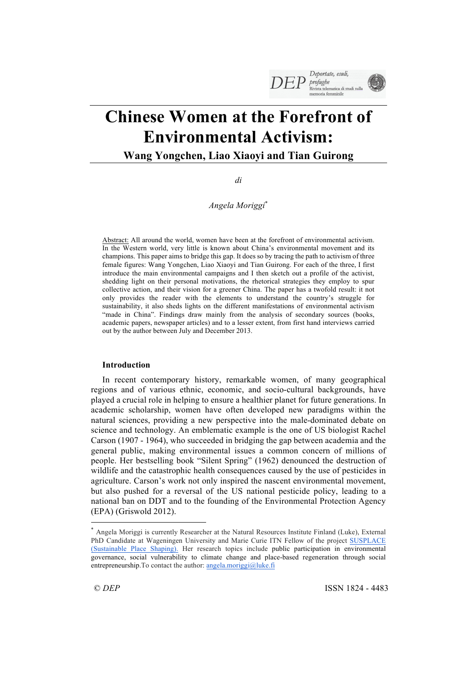

# **Chinese Women at the Forefront of Environmental Activism:**

**Wang Yongchen, Liao Xiaoyi and Tian Guirong**

*di* 

*Angela Moriggi*\*

Abstract: All around the world, women have been at the forefront of environmental activism. In the Western world, very little is known about China's environmental movement and its champions. This paper aims to bridge this gap. It does so by tracing the path to activism of three female figures: Wang Yongchen, Liao Xiaoyi and Tian Guirong. For each of the three, I first introduce the main environmental campaigns and I then sketch out a profile of the activist, shedding light on their personal motivations, the rhetorical strategies they employ to spur collective action, and their vision for a greener China. The paper has a twofold result: it not only provides the reader with the elements to understand the country's struggle for sustainability, it also sheds lights on the different manifestations of environmental activism "made in China". Findings draw mainly from the analysis of secondary sources (books, academic papers, newspaper articles) and to a lesser extent, from first hand interviews carried out by the author between July and December 2013.

# **Introduction**

In recent contemporary history, remarkable women, of many geographical regions and of various ethnic, economic, and socio-cultural backgrounds, have played a crucial role in helping to ensure a healthier planet for future generations. In academic scholarship, women have often developed new paradigms within the natural sciences, providing a new perspective into the male-dominated debate on science and technology. An emblematic example is the one of US biologist Rachel Carson (1907 - 1964), who succeeded in bridging the gap between academia and the general public, making environmental issues a common concern of millions of people. Her bestselling book "Silent Spring" (1962) denounced the destruction of wildlife and the catastrophic health consequences caused by the use of pesticides in agriculture. Carson's work not only inspired the nascent environmental movement, but also pushed for a reversal of the US national pesticide policy, leading to a national ban on DDT and to the founding of the Environmental Protection Agency (EPA) (Griswold 2012).

l

<sup>\*</sup> Angela Moriggi is currently Researcher at the Natural Resources Institute Finland (Luke), External PhD Candidate at Wageningen University and Marie Curie ITN Fellow of the project SUSPLACE (Sustainable Place Shaping). Her research topics include public participation in environmental governance, social vulnerability to climate change and place-based regeneration through social entrepreneurship. To contact the author: angela.moriggi@luke.fi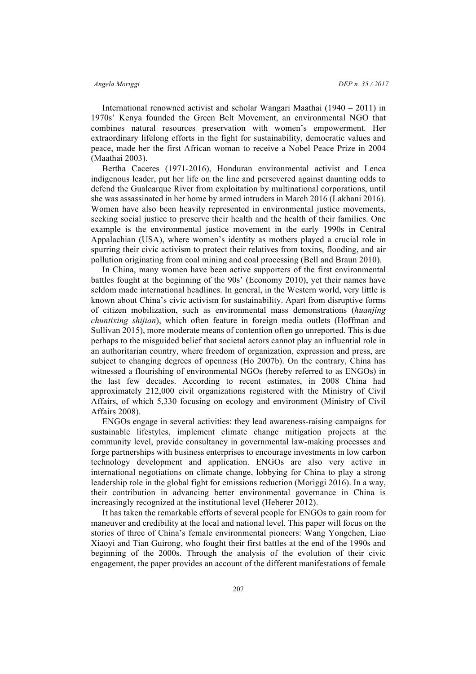International renowned activist and scholar Wangari Maathai (1940 – 2011) in 1970s' Kenya founded the Green Belt Movement, an environmental NGO that combines natural resources preservation with women's empowerment. Her extraordinary lifelong efforts in the fight for sustainability, democratic values and peace, made her the first African woman to receive a Nobel Peace Prize in 2004 (Maathai 2003).

Bertha Caceres (1971-2016), Honduran environmental activist and Lenca indigenous leader, put her life on the line and persevered against daunting odds to defend the Gualcarque River from exploitation by multinational corporations, until she was assassinated in her home by armed intruders in March 2016 (Lakhani 2016). Women have also been heavily represented in environmental justice movements, seeking social justice to preserve their health and the health of their families. One example is the environmental justice movement in the early 1990s in Central Appalachian (USA), where women's identity as mothers played a crucial role in spurring their civic activism to protect their relatives from toxins, flooding, and air pollution originating from coal mining and coal processing (Bell and Braun 2010).

In China, many women have been active supporters of the first environmental battles fought at the beginning of the 90s' (Economy 2010), yet their names have seldom made international headlines. In general, in the Western world, very little is known about China's civic activism for sustainability. Apart from disruptive forms of citizen mobilization, such as environmental mass demonstrations (*huanjing chuntixing shijian*), which often feature in foreign media outlets (Hoffman and Sullivan 2015), more moderate means of contention often go unreported. This is due perhaps to the misguided belief that societal actors cannot play an influential role in an authoritarian country, where freedom of organization, expression and press, are subject to changing degrees of openness (Ho 2007b). On the contrary, China has witnessed a flourishing of environmental NGOs (hereby referred to as ENGOs) in the last few decades. According to recent estimates, in 2008 China had approximately 212,000 civil organizations registered with the Ministry of Civil Affairs, of which 5,330 focusing on ecology and environment (Ministry of Civil Affairs 2008).

ENGOs engage in several activities: they lead awareness-raising campaigns for sustainable lifestyles, implement climate change mitigation projects at the community level, provide consultancy in governmental law-making processes and forge partnerships with business enterprises to encourage investments in low carbon technology development and application. ENGOs are also very active in international negotiations on climate change, lobbying for China to play a strong leadership role in the global fight for emissions reduction (Moriggi 2016). In a way, their contribution in advancing better environmental governance in China is increasingly recognized at the institutional level (Heberer 2012).

It has taken the remarkable efforts of several people for ENGOs to gain room for maneuver and credibility at the local and national level. This paper will focus on the stories of three of China's female environmental pioneers: Wang Yongchen, Liao Xiaoyi and Tian Guirong, who fought their first battles at the end of the 1990s and beginning of the 2000s. Through the analysis of the evolution of their civic engagement, the paper provides an account of the different manifestations of female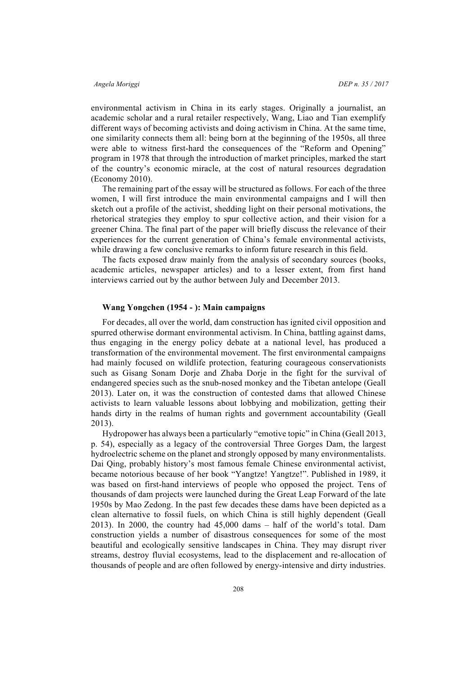environmental activism in China in its early stages. Originally a journalist, an academic scholar and a rural retailer respectively, Wang, Liao and Tian exemplify different ways of becoming activists and doing activism in China. At the same time, one similarity connects them all: being born at the beginning of the 1950s, all three were able to witness first-hard the consequences of the "Reform and Opening" program in 1978 that through the introduction of market principles, marked the start of the country's economic miracle, at the cost of natural resources degradation (Economy 2010).

The remaining part of the essay will be structured as follows. For each of the three women, I will first introduce the main environmental campaigns and I will then sketch out a profile of the activist, shedding light on their personal motivations, the rhetorical strategies they employ to spur collective action, and their vision for a greener China. The final part of the paper will briefly discuss the relevance of their experiences for the current generation of China's female environmental activists, while drawing a few conclusive remarks to inform future research in this field.

The facts exposed draw mainly from the analysis of secondary sources (books, academic articles, newspaper articles) and to a lesser extent, from first hand interviews carried out by the author between July and December 2013.

### **Wang Yongchen (1954 - ): Main campaigns**

For decades, all over the world, dam construction has ignited civil opposition and spurred otherwise dormant environmental activism. In China, battling against dams, thus engaging in the energy policy debate at a national level, has produced a transformation of the environmental movement. The first environmental campaigns had mainly focused on wildlife protection, featuring courageous conservationists such as Gisang Sonam Dorje and Zhaba Dorje in the fight for the survival of endangered species such as the snub-nosed monkey and the Tibetan antelope (Geall 2013). Later on, it was the construction of contested dams that allowed Chinese activists to learn valuable lessons about lobbying and mobilization, getting their hands dirty in the realms of human rights and government accountability (Geall 2013).

Hydropower has always been a particularly "emotive topic" in China (Geall 2013, p. 54), especially as a legacy of the controversial Three Gorges Dam, the largest hydroelectric scheme on the planet and strongly opposed by many environmentalists. Dai Qing, probably history's most famous female Chinese environmental activist, became notorious because of her book "Yangtze! Yangtze!". Published in 1989, it was based on first-hand interviews of people who opposed the project. Tens of thousands of dam projects were launched during the Great Leap Forward of the late 1950s by Mao Zedong. In the past few decades these dams have been depicted as a clean alternative to fossil fuels, on which China is still highly dependent (Geall 2013). In 2000, the country had 45,000 dams – half of the world's total. Dam construction yields a number of disastrous consequences for some of the most beautiful and ecologically sensitive landscapes in China. They may disrupt river streams, destroy fluvial ecosystems, lead to the displacement and re-allocation of thousands of people and are often followed by energy-intensive and dirty industries.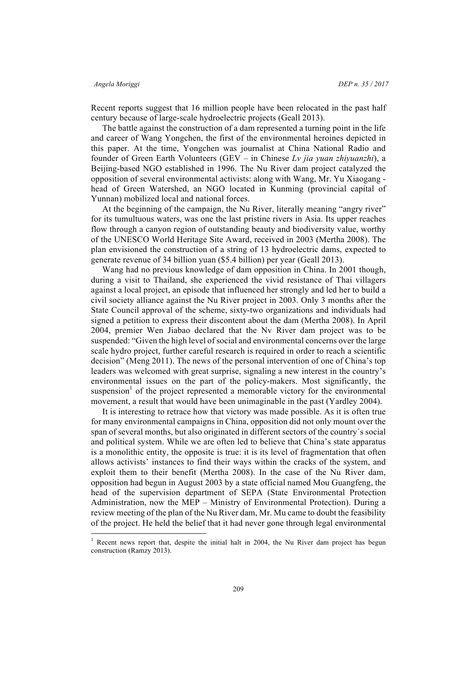Recent reports suggest that 16 million people have been relocated in the past half century because of large-scale hydroelectric projects (Geall 2013).

The battle against the construction of a dam represented a turning point in the life and career of Wang Yongchen, the first of the environmental heroines depicted in this paper. At the time, Yongchen was journalist at China National Radio and founder of Green Earth Volunteers (GEV – in Chinese *Lv jia yuan zhiyuanzhi*), a Beijing-based NGO established in 1996. The Nu River dam project catalyzed the opposition of several environmental activists: along with Wang, Mr. Yu Xiaogang head of Green Watershed, an NGO located in Kunming (provincial capital of Yunnan) mobilized local and national forces.

At the beginning of the campaign, the Nu River, literally meaning "angry river" for its tumultuous waters, was one the last pristine rivers in Asia. Its upper reaches flow through a canyon region of outstanding beauty and biodiversity value, worthy of the UNESCO World Heritage Site Award, received in 2003 (Mertha 2008). The plan envisioned the construction of a string of 13 hydroelectric dams, expected to generate revenue of 34 billion yuan (\$5.4 billion) per year (Geall 2013).

Wang had no previous knowledge of dam opposition in China. In 2001 though, during a visit to Thailand, she experienced the vivid resistance of Thai villagers against a local project, an episode that influenced her strongly and led her to build a civil society alliance against the Nu River project in 2003. Only 3 months after the State Council approval of the scheme, sixty-two organizations and individuals had signed a petition to express their discontent about the dam (Mertha 2008). In April 2004, premier Wen Jiabao declared that the Nv River dam project was to be suspended: "Given the high level of social and environmental concerns over the large scale hydro project, further careful research is required in order to reach a scientific decision" (Meng 2011). The news of the personal intervention of one of China's top leaders was welcomed with great surprise, signaling a new interest in the country's environmental issues on the part of the policy-makers. Most significantly, the suspension<sup>1</sup> of the project represented a memorable victory for the environmental movement, a result that would have been unimaginable in the past (Yardley 2004).

It is interesting to retrace how that victory was made possible. As it is often true for many environmental campaigns in China, opposition did not only mount over the span of several months, but also originated in different sectors of the country´s social and political system. While we are often led to believe that China's state apparatus is a monolithic entity, the opposite is true: it is its level of fragmentation that often allows activists' instances to find their ways within the cracks of the system, and exploit them to their benefit (Mertha 2008). In the case of the Nu River dam, opposition had begun in August 2003 by a state official named Mou Guangfeng, the head of the supervision department of SEPA (State Environmental Protection Administration, now the MEP – Ministry of Environmental Protection). During a review meeting of the plan of the Nu River dam, Mr. Mu came to doubt the feasibility of the project. He held the belief that it had never gone through legal environmental

<sup>&</sup>lt;sup>1</sup> Recent news report that, despite the initial halt in 2004, the Nu River dam project has begun construction (Ramzy 2013).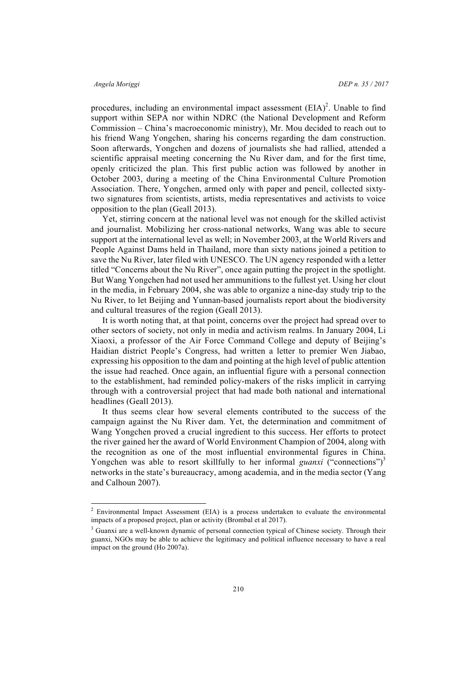procedures, including an environmental impact assessment  $(EIA)^2$ . Unable to find support within SEPA nor within NDRC (the National Development and Reform Commission – China's macroeconomic ministry), Mr. Mou decided to reach out to his friend Wang Yongchen, sharing his concerns regarding the dam construction. Soon afterwards, Yongchen and dozens of journalists she had rallied, attended a scientific appraisal meeting concerning the Nu River dam, and for the first time, openly criticized the plan. This first public action was followed by another in October 2003, during a meeting of the China Environmental Culture Promotion Association. There, Yongchen, armed only with paper and pencil, collected sixtytwo signatures from scientists, artists, media representatives and activists to voice opposition to the plan (Geall 2013).

Yet, stirring concern at the national level was not enough for the skilled activist and journalist. Mobilizing her cross-national networks, Wang was able to secure support at the international level as well; in November 2003, at the World Rivers and People Against Dams held in Thailand, more than sixty nations joined a petition to save the Nu River, later filed with UNESCO. The UN agency responded with a letter titled "Concerns about the Nu River", once again putting the project in the spotlight. But Wang Yongchen had not used her ammunitions to the fullest yet. Using her clout in the media, in February 2004, she was able to organize a nine-day study trip to the Nu River, to let Beijing and Yunnan-based journalists report about the biodiversity and cultural treasures of the region (Geall 2013).

It is worth noting that, at that point, concerns over the project had spread over to other sectors of society, not only in media and activism realms. In January 2004, Li Xiaoxi, a professor of the Air Force Command College and deputy of Beijing's Haidian district People's Congress, had written a letter to premier Wen Jiabao, expressing his opposition to the dam and pointing at the high level of public attention the issue had reached. Once again, an influential figure with a personal connection to the establishment, had reminded policy-makers of the risks implicit in carrying through with a controversial project that had made both national and international headlines (Geall 2013).

It thus seems clear how several elements contributed to the success of the campaign against the Nu River dam. Yet, the determination and commitment of Wang Yongchen proved a crucial ingredient to this success. Her efforts to protect the river gained her the award of World Environment Champion of 2004, along with the recognition as one of the most influential environmental figures in China. Yongchen was able to resort skillfully to her informal *guanxi* ("connections")<sup>3</sup> networks in the state's bureaucracy, among academia, and in the media sector (Yang and Calhoun 2007).

<sup>&</sup>lt;sup>2</sup> Environmental Impact Assessment (EIA) is a process undertaken to evaluate the environmental impacts of a proposed project, plan or activity (Brombal et al 2017).

<sup>&</sup>lt;sup>3</sup> Guanxi are a well-known dynamic of personal connection typical of Chinese society. Through their guanxi, NGOs may be able to achieve the legitimacy and political influence necessary to have a real impact on the ground (Ho 2007a).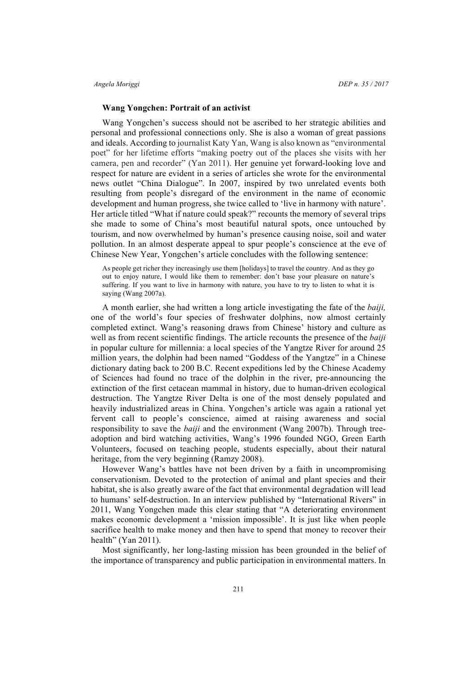# **Wang Yongchen: Portrait of an activist**

Wang Yongchen's success should not be ascribed to her strategic abilities and personal and professional connections only. She is also a woman of great passions and ideals. According to journalist Katy Yan, Wang is also known as "environmental poet" for her lifetime efforts "making poetry out of the places she visits with her camera, pen and recorder" (Yan 2011). Her genuine yet forward-looking love and respect for nature are evident in a series of articles she wrote for the environmental news outlet "China Dialogue". In 2007, inspired by two unrelated events both resulting from people's disregard of the environment in the name of economic development and human progress, she twice called to 'live in harmony with nature'. Her article titled "What if nature could speak?" recounts the memory of several trips she made to some of China's most beautiful natural spots, once untouched by tourism, and now overwhelmed by human's presence causing noise, soil and water pollution. In an almost desperate appeal to spur people's conscience at the eve of Chinese New Year, Yongchen's article concludes with the following sentence:

As people get richer they increasingly use them [holidays] to travel the country. And as they go out to enjoy nature, I would like them to remember: don't base your pleasure on nature's suffering. If you want to live in harmony with nature, you have to try to listen to what it is saying (Wang 2007a).

A month earlier, she had written a long article investigating the fate of the *baiji,*  one of the world's four species of freshwater dolphins, now almost certainly completed extinct. Wang's reasoning draws from Chinese' history and culture as well as from recent scientific findings. The article recounts the presence of the *baiji*  in popular culture for millennia: a local species of the Yangtze River for around 25 million years, the dolphin had been named "Goddess of the Yangtze" in a Chinese dictionary dating back to 200 B.C. Recent expeditions led by the Chinese Academy of Sciences had found no trace of the dolphin in the river, pre-announcing the extinction of the first cetacean mammal in history, due to human-driven ecological destruction. The Yangtze River Delta is one of the most densely populated and heavily industrialized areas in China. Yongchen's article was again a rational yet fervent call to people's conscience, aimed at raising awareness and social responsibility to save the *baiji* and the environment (Wang 2007b). Through treeadoption and bird watching activities, Wang's 1996 founded NGO, Green Earth Volunteers, focused on teaching people, students especially, about their natural heritage, from the very beginning (Ramzy 2008).

However Wang's battles have not been driven by a faith in uncompromising conservationism. Devoted to the protection of animal and plant species and their habitat, she is also greatly aware of the fact that environmental degradation will lead to humans' self-destruction. In an interview published by "International Rivers" in 2011, Wang Yongchen made this clear stating that "A deteriorating environment makes economic development a 'mission impossible'. It is just like when people sacrifice health to make money and then have to spend that money to recover their health" (Yan 2011).

Most significantly, her long-lasting mission has been grounded in the belief of the importance of transparency and public participation in environmental matters. In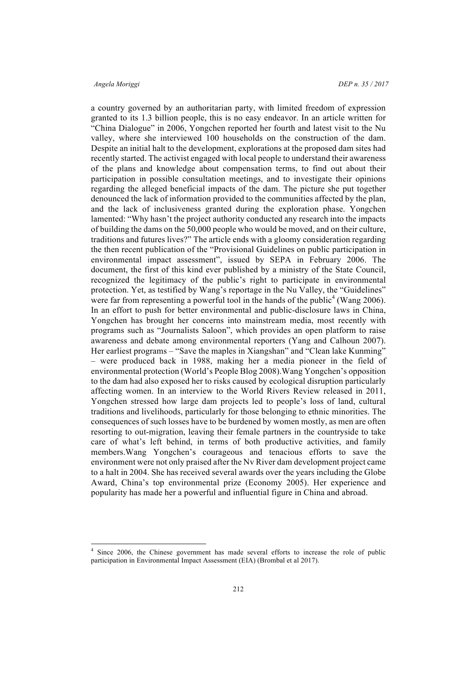a country governed by an authoritarian party, with limited freedom of expression granted to its 1.3 billion people, this is no easy endeavor. In an article written for "China Dialogue" in 2006, Yongchen reported her fourth and latest visit to the Nu valley, where she interviewed 100 households on the construction of the dam. Despite an initial halt to the development, explorations at the proposed dam sites had recently started. The activist engaged with local people to understand their awareness of the plans and knowledge about compensation terms, to find out about their participation in possible consultation meetings, and to investigate their opinions regarding the alleged beneficial impacts of the dam. The picture she put together denounced the lack of information provided to the communities affected by the plan, and the lack of inclusiveness granted during the exploration phase. Yongchen lamented: "Why hasn't the project authority conducted any research into the impacts of building the dams on the 50,000 people who would be moved, and on their culture, traditions and futures lives?" The article ends with a gloomy consideration regarding the then recent publication of the "Provisional Guidelines on public participation in environmental impact assessment", issued by SEPA in February 2006. The document, the first of this kind ever published by a ministry of the State Council, recognized the legitimacy of the public's right to participate in environmental protection. Yet, as testified by Wang's reportage in the Nu Valley, the "Guidelines" were far from representing a powerful tool in the hands of the public<sup>4</sup> (Wang 2006). In an effort to push for better environmental and public-disclosure laws in China, Yongchen has brought her concerns into mainstream media, most recently with programs such as "Journalists Saloon", which provides an open platform to raise awareness and debate among environmental reporters (Yang and Calhoun 2007). Her earliest programs – "Save the maples in Xiangshan" and "Clean lake Kunming" – were produced back in 1988, making her a media pioneer in the field of environmental protection (World's People Blog 2008).Wang Yongchen's opposition to the dam had also exposed her to risks caused by ecological disruption particularly affecting women. In an interview to the World Rivers Review released in 2011, Yongchen stressed how large dam projects led to people's loss of land, cultural traditions and livelihoods, particularly for those belonging to ethnic minorities. The consequences of such losses have to be burdened by women mostly, as men are often resorting to out-migration, leaving their female partners in the countryside to take care of what's left behind, in terms of both productive activities, and family members.Wang Yongchen's courageous and tenacious efforts to save the environment were not only praised after the Nv River dam development project came to a halt in 2004. She has received several awards over the years including the Globe Award, China's top environmental prize (Economy 2005). Her experience and popularity has made her a powerful and influential figure in China and abroad.

Since 2006, the Chinese government has made several efforts to increase the role of public participation in Environmental Impact Assessment (EIA) (Brombal et al 2017).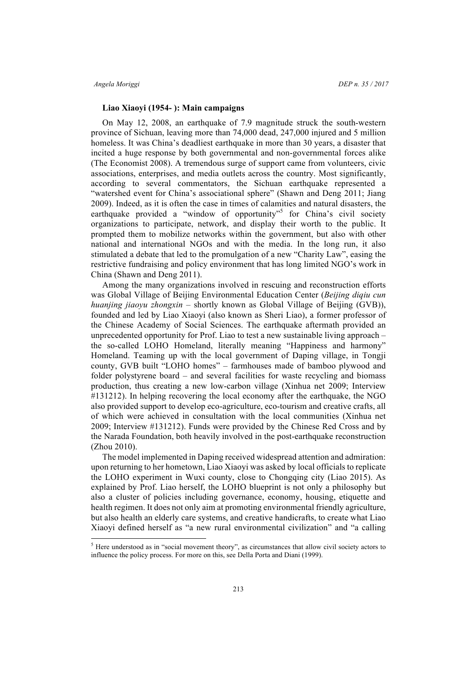# **Liao Xiaoyi (1954- ): Main campaigns**

On May 12, 2008, an earthquake of 7.9 magnitude struck the south-western province of Sichuan, leaving more than 74,000 dead, 247,000 injured and 5 million homeless. It was China's deadliest earthquake in more than 30 years, a disaster that incited a huge response by both governmental and non-governmental forces alike (The Economist 2008). A tremendous surge of support came from volunteers, civic associations, enterprises, and media outlets across the country. Most significantly, according to several commentators, the Sichuan earthquake represented a "watershed event for China's associational sphere" (Shawn and Deng 2011; Jiang 2009). Indeed, as it is often the case in times of calamities and natural disasters, the earthquake provided a "window of opportunity"<sup>5</sup> for China's civil society organizations to participate, network, and display their worth to the public. It prompted them to mobilize networks within the government, but also with other national and international NGOs and with the media. In the long run, it also stimulated a debate that led to the promulgation of a new "Charity Law", easing the restrictive fundraising and policy environment that has long limited NGO's work in China (Shawn and Deng 2011).

Among the many organizations involved in rescuing and reconstruction efforts was Global Village of Beijing Environmental Education Center (*Beijing diqiu cun huanjing jiaoyu zhongxin* – shortly known as Global Village of Beijing (GVB)), founded and led by Liao Xiaoyi (also known as Sheri Liao), a former professor of the Chinese Academy of Social Sciences. The earthquake aftermath provided an unprecedented opportunity for Prof. Liao to test a new sustainable living approach – the so-called LOHO Homeland, literally meaning "Happiness and harmony" Homeland. Teaming up with the local government of Daping village, in Tongji county, GVB built "LOHO homes" – farmhouses made of bamboo plywood and folder polystyrene board – and several facilities for waste recycling and biomass production, thus creating a new low-carbon village (Xinhua net 2009; Interview #131212). In helping recovering the local economy after the earthquake, the NGO also provided support to develop eco-agriculture, eco-tourism and creative crafts, all of which were achieved in consultation with the local communities (Xinhua net 2009; Interview #131212). Funds were provided by the Chinese Red Cross and by the Narada Foundation, both heavily involved in the post-earthquake reconstruction (Zhou 2010).

The model implemented in Daping received widespread attention and admiration: upon returning to her hometown, Liao Xiaoyi was asked by local officials to replicate the LOHO experiment in Wuxi county, close to Chongqing city (Liao 2015). As explained by Prof. Liao herself, the LOHO blueprint is not only a philosophy but also a cluster of policies including governance, economy, housing, etiquette and health regimen. It does not only aim at promoting environmental friendly agriculture, but also health an elderly care systems, and creative handicrafts, to create what Liao Xiaoyi defined herself as "a new rural environmental civilization" and "a calling

<sup>&</sup>lt;sup>5</sup> Here understood as in "social movement theory", as circumstances that allow civil society actors to influence the policy process. For more on this, see Della Porta and Diani (1999).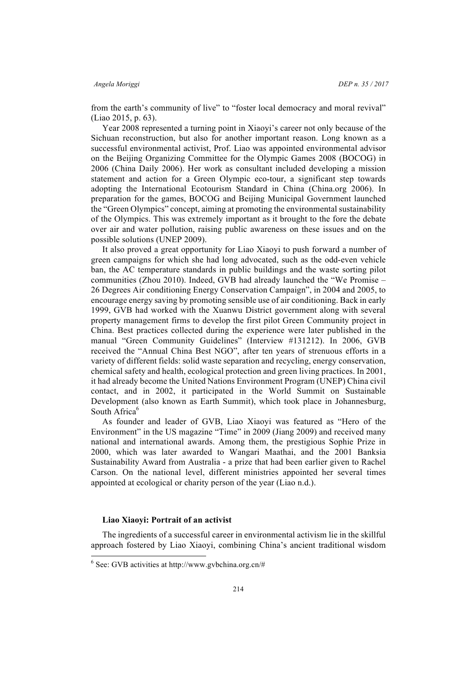from the earth's community of live" to "foster local democracy and moral revival" (Liao 2015, p. 63).

Year 2008 represented a turning point in Xiaoyi's career not only because of the Sichuan reconstruction, but also for another important reason. Long known as a successful environmental activist, Prof. Liao was appointed environmental advisor on the Beijing Organizing Committee for the Olympic Games 2008 (BOCOG) in 2006 (China Daily 2006). Her work as consultant included developing a mission statement and action for a Green Olympic eco-tour, a significant step towards adopting the International Ecotourism Standard in China (China.org 2006). In preparation for the games, BOCOG and Beijing Municipal Government launched the "Green Olympics" concept, aiming at promoting the environmental sustainability of the Olympics. This was extremely important as it brought to the fore the debate over air and water pollution, raising public awareness on these issues and on the possible solutions (UNEP 2009).

It also proved a great opportunity for Liao Xiaoyi to push forward a number of green campaigns for which she had long advocated, such as the odd-even vehicle ban, the AC temperature standards in public buildings and the waste sorting pilot communities (Zhou 2010). Indeed, GVB had already launched the "We Promise – 26 Degrees Air conditioning Energy Conservation Campaign", in 2004 and 2005, to encourage energy saving by promoting sensible use of air conditioning. Back in early 1999, GVB had worked with the Xuanwu District government along with several property management firms to develop the first pilot Green Community project in China. Best practices collected during the experience were later published in the manual "Green Community Guidelines" (Interview #131212). In 2006, GVB received the "Annual China Best NGO", after ten years of strenuous efforts in a variety of different fields: solid waste separation and recycling, energy conservation, chemical safety and health, ecological protection and green living practices. In 2001, it had already become the United Nations Environment Program (UNEP) China civil contact, and in 2002, it participated in the World Summit on Sustainable Development (also known as Earth Summit), which took place in Johannesburg, South Africa<sup>6</sup>

As founder and leader of GVB, Liao Xiaoyi was featured as "Hero of the Environment" in the US magazine "Time" in 2009 (Jiang 2009) and received many national and international awards. Among them, the prestigious Sophie Prize in 2000, which was later awarded to Wangari Maathai, and the 2001 Banksia Sustainability Award from Australia - a prize that had been earlier given to Rachel Carson. On the national level, different ministries appointed her several times appointed at ecological or charity person of the year (Liao n.d.).

# **Liao Xiaoyi: Portrait of an activist**

The ingredients of a successful career in environmental activism lie in the skillful approach fostered by Liao Xiaoyi, combining China's ancient traditional wisdom

 $6$  See: GVB activities at http://www.gvbchina.org.cn/#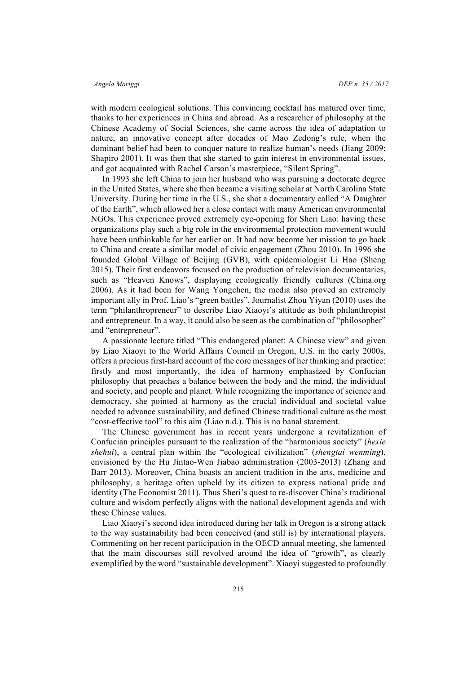with modern ecological solutions. This convincing cocktail has matured over time, thanks to her experiences in China and abroad. As a researcher of philosophy at the Chinese Academy of Social Sciences, she came across the idea of adaptation to nature, an innovative concept after decades of Mao Zedong's rule, when the dominant belief had been to conquer nature to realize human's needs (Jiang 2009; Shapiro 2001). It was then that she started to gain interest in environmental issues, and got acquainted with Rachel Carson's masterpiece, "Silent Spring".

In 1993 she left China to join her husband who was pursuing a doctorate degree in the United States, where she then became a visiting scholar at North Carolina State University. During her time in the U.S., she shot a documentary called "A Daughter of the Earth", which allowed her a close contact with many American environmental NGOs. This experience proved extremely eye-opening for Sheri Liao: having these organizations play such a big role in the environmental protection movement would have been unthinkable for her earlier on. It had now become her mission to go back to China and create a similar model of civic engagement (Zhou 2010). In 1996 she founded Global Village of Beijing (GVB), with epidemiologist Li Hao (Sheng 2015). Their first endeavors focused on the production of television documentaries, such as "Heaven Knows", displaying ecologically friendly cultures (China.org 2006). As it had been for Wang Yongchen, the media also proved an extremely important ally in Prof. Liao's "green battles". Journalist Zhou Yiyan (2010) uses the term "philanthropreneur" to describe Liao Xiaoyi's attitude as both philanthropist and entrepreneur. In a way, it could also be seen as the combination of "philosopher" and "entrepreneur".

A passionate lecture titled "This endangered planet: A Chinese view" and given by Liao Xiaoyi to the World Affairs Council in Oregon, U.S. in the early 2000s, offers a precious first-hard account of the core messages of her thinking and practice: firstly and most importantly, the idea of harmony emphasized by Confucian philosophy that preaches a balance between the body and the mind, the individual and society, and people and planet. While recognizing the importance of science and democracy, she pointed at harmony as the crucial individual and societal value needed to advance sustainability, and defined Chinese traditional culture as the most "cost-effective tool" to this aim (Liao n.d.). This is no banal statement.

The Chinese government has in recent years undergone a revitalization of Confucian principles pursuant to the realization of the "harmonious society" (*hexie shehui*), a central plan within the "ecological civilization" (*shengtai wenming*), envisioned by the Hu Jintao-Wen Jiabao administration (2003-2013) (Zhang and Barr 2013). Moreover, China boasts an ancient tradition in the arts, medicine and philosophy, a heritage often upheld by its citizen to express national pride and identity (The Economist 2011). Thus Sheri's quest to re-discover China's traditional culture and wisdom perfectly aligns with the national development agenda and with these Chinese values.

Liao Xiaoyi's second idea introduced during her talk in Oregon is a strong attack to the way sustainability had been conceived (and still is) by international players. Commenting on her recent participation in the OECD annual meeting, she lamented that the main discourses still revolved around the idea of "growth", as clearly exemplified by the word "sustainable development". Xiaoyi suggested to profoundly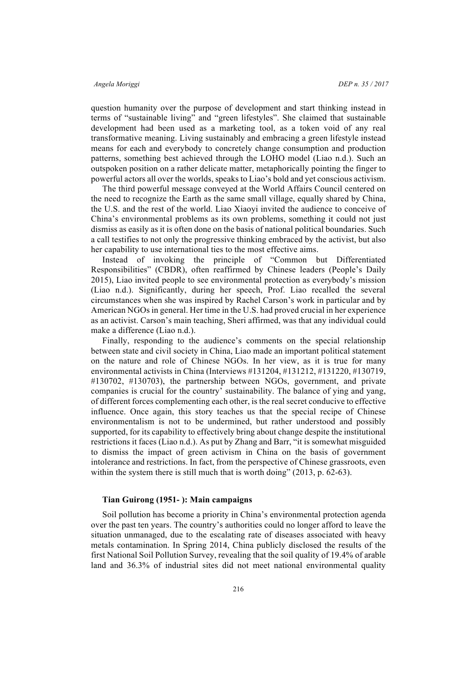question humanity over the purpose of development and start thinking instead in terms of "sustainable living" and "green lifestyles". She claimed that sustainable development had been used as a marketing tool, as a token void of any real transformative meaning. Living sustainably and embracing a green lifestyle instead means for each and everybody to concretely change consumption and production patterns, something best achieved through the LOHO model (Liao n.d.). Such an outspoken position on a rather delicate matter, metaphorically pointing the finger to powerful actors all over the worlds, speaks to Liao's bold and yet conscious activism.

The third powerful message conveyed at the World Affairs Council centered on the need to recognize the Earth as the same small village, equally shared by China, the U.S. and the rest of the world. Liao Xiaoyi invited the audience to conceive of China's environmental problems as its own problems, something it could not just dismiss as easily as it is often done on the basis of national political boundaries. Such a call testifies to not only the progressive thinking embraced by the activist, but also her capability to use international ties to the most effective aims.

Instead of invoking the principle of "Common but Differentiated Responsibilities" (CBDR), often reaffirmed by Chinese leaders (People's Daily 2015), Liao invited people to see environmental protection as everybody's mission (Liao n.d.). Significantly, during her speech, Prof. Liao recalled the several circumstances when she was inspired by Rachel Carson's work in particular and by American NGOs in general. Her time in the U.S. had proved crucial in her experience as an activist. Carson's main teaching, Sheri affirmed, was that any individual could make a difference (Liao n.d.).

Finally, responding to the audience's comments on the special relationship between state and civil society in China, Liao made an important political statement on the nature and role of Chinese NGOs. In her view, as it is true for many environmental activists in China (Interviews #131204, #131212, #131220, #130719, #130702, #130703), the partnership between NGOs, government, and private companies is crucial for the country' sustainability. The balance of ying and yang, of different forces complementing each other, is the real secret conducive to effective influence. Once again, this story teaches us that the special recipe of Chinese environmentalism is not to be undermined, but rather understood and possibly supported, for its capability to effectively bring about change despite the institutional restrictions it faces (Liao n.d.). As put by Zhang and Barr, "it is somewhat misguided to dismiss the impact of green activism in China on the basis of government intolerance and restrictions. In fact, from the perspective of Chinese grassroots, even within the system there is still much that is worth doing" (2013, p. 62-63).

# **Tian Guirong (1951- ): Main campaigns**

Soil pollution has become a priority in China's environmental protection agenda over the past ten years. The country's authorities could no longer afford to leave the situation unmanaged, due to the escalating rate of diseases associated with heavy metals contamination. In Spring 2014, China publicly disclosed the results of the first National Soil Pollution Survey, revealing that the soil quality of 19.4% of arable land and 36.3% of industrial sites did not meet national environmental quality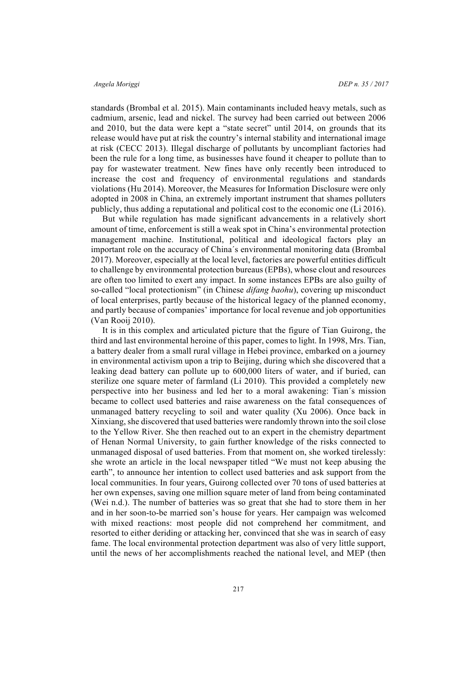standards (Brombal et al. 2015). Main contaminants included heavy metals, such as cadmium, arsenic, lead and nickel. The survey had been carried out between 2006 and 2010, but the data were kept a "state secret" until 2014, on grounds that its release would have put at risk the country's internal stability and international image at risk (CECC 2013). Illegal discharge of pollutants by uncompliant factories had been the rule for a long time, as businesses have found it cheaper to pollute than to pay for wastewater treatment. New fines have only recently been introduced to increase the cost and frequency of environmental regulations and standards violations (Hu 2014). Moreover, the Measures for Information Disclosure were only adopted in 2008 in China, an extremely important instrument that shames polluters publicly, thus adding a reputational and political cost to the economic one (Li 2016).

But while regulation has made significant advancements in a relatively short amount of time, enforcement is still a weak spot in China's environmental protection management machine. Institutional, political and ideological factors play an important role on the accuracy of China´s environmental monitoring data (Brombal 2017). Moreover, especially at the local level, factories are powerful entities difficult to challenge by environmental protection bureaus (EPBs), whose clout and resources are often too limited to exert any impact. In some instances EPBs are also guilty of so-called "local protectionism" (in Chinese *difang baohu*), covering up misconduct of local enterprises, partly because of the historical legacy of the planned economy, and partly because of companies' importance for local revenue and job opportunities (Van Rooij 2010).

It is in this complex and articulated picture that the figure of Tian Guirong, the third and last environmental heroine of this paper, comes to light. In 1998, Mrs. Tian, a battery dealer from a small rural village in Hebei province, embarked on a journey in environmental activism upon a trip to Beijing, during which she discovered that a leaking dead battery can pollute up to 600,000 liters of water, and if buried, can sterilize one square meter of farmland (Li 2010). This provided a completely new perspective into her business and led her to a moral awakening: Tian´s mission became to collect used batteries and raise awareness on the fatal consequences of unmanaged battery recycling to soil and water quality (Xu 2006). Once back in Xinxiang, she discovered that used batteries were randomly thrown into the soil close to the Yellow River. She then reached out to an expert in the chemistry department of Henan Normal University, to gain further knowledge of the risks connected to unmanaged disposal of used batteries. From that moment on, she worked tirelessly: she wrote an article in the local newspaper titled "We must not keep abusing the earth", to announce her intention to collect used batteries and ask support from the local communities. In four years, Guirong collected over 70 tons of used batteries at her own expenses, saving one million square meter of land from being contaminated (Wei n.d.). The number of batteries was so great that she had to store them in her and in her soon-to-be married son's house for years. Her campaign was welcomed with mixed reactions: most people did not comprehend her commitment, and resorted to either deriding or attacking her, convinced that she was in search of easy fame. The local environmental protection department was also of very little support, until the news of her accomplishments reached the national level, and MEP (then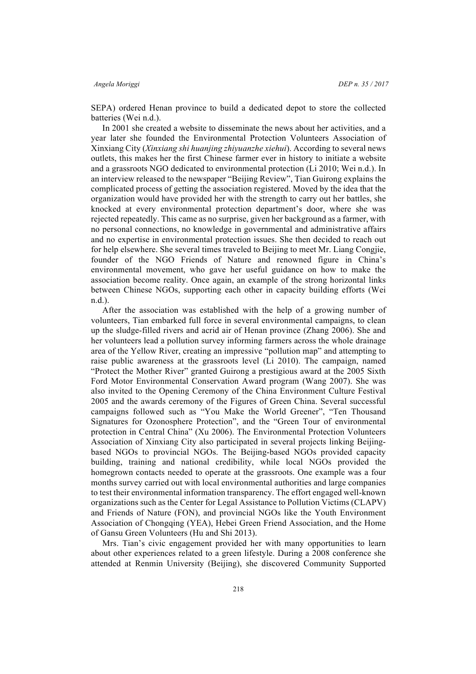SEPA) ordered Henan province to build a dedicated depot to store the collected batteries (Wei n.d.).

In 2001 she created a website to disseminate the news about her activities, and a year later she founded the Environmental Protection Volunteers Association of Xinxiang City (*Xinxiang shi huanjing zhiyuanzhe xiehui*). According to several news outlets, this makes her the first Chinese farmer ever in history to initiate a website and a grassroots NGO dedicated to environmental protection (Li 2010; Wei n.d.). In an interview released to the newspaper "Beijing Review", Tian Guirong explains the complicated process of getting the association registered. Moved by the idea that the organization would have provided her with the strength to carry out her battles, she knocked at every environmental protection department's door, where she was rejected repeatedly. This came as no surprise, given her background as a farmer, with no personal connections, no knowledge in governmental and administrative affairs and no expertise in environmental protection issues. She then decided to reach out for help elsewhere. She several times traveled to Beijing to meet Mr. Liang Congjie, founder of the NGO Friends of Nature and renowned figure in China's environmental movement, who gave her useful guidance on how to make the association become reality. Once again, an example of the strong horizontal links between Chinese NGOs, supporting each other in capacity building efforts (Wei n.d.).

After the association was established with the help of a growing number of volunteers, Tian embarked full force in several environmental campaigns, to clean up the sludge-filled rivers and acrid air of Henan province (Zhang 2006). She and her volunteers lead a pollution survey informing farmers across the whole drainage area of the Yellow River, creating an impressive "pollution map" and attempting to raise public awareness at the grassroots level (Li 2010). The campaign, named "Protect the Mother River" granted Guirong a prestigious award at the 2005 Sixth Ford Motor Environmental Conservation Award program (Wang 2007). She was also invited to the Opening Ceremony of the China Environment Culture Festival 2005 and the awards ceremony of the Figures of Green China. Several successful campaigns followed such as "You Make the World Greener", "Ten Thousand Signatures for Ozonosphere Protection", and the "Green Tour of environmental protection in Central China" (Xu 2006). The Environmental Protection Volunteers Association of Xinxiang City also participated in several projects linking Beijingbased NGOs to provincial NGOs. The Beijing-based NGOs provided capacity building, training and national credibility, while local NGOs provided the homegrown contacts needed to operate at the grassroots. One example was a four months survey carried out with local environmental authorities and large companies to test their environmental information transparency. The effort engaged well-known organizations such as the Center for Legal Assistance to Pollution Victims (CLAPV) and Friends of Nature (FON), and provincial NGOs like the Youth Environment Association of Chongqing (YEA), Hebei Green Friend Association, and the Home of Gansu Green Volunteers (Hu and Shi 2013).

Mrs. Tian's civic engagement provided her with many opportunities to learn about other experiences related to a green lifestyle. During a 2008 conference she attended at Renmin University (Beijing), she discovered Community Supported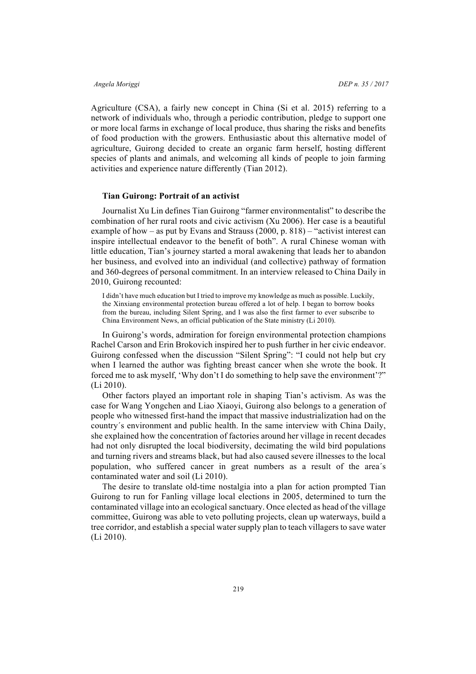Agriculture (CSA), a fairly new concept in China (Si et al. 2015) referring to a network of individuals who, through a periodic contribution, pledge to support one or more local farms in exchange of local produce, thus sharing the risks and benefits of food production with the growers. Enthusiastic about this alternative model of agriculture, Guirong decided to create an organic farm herself, hosting different species of plants and animals, and welcoming all kinds of people to join farming activities and experience nature differently (Tian 2012).

# **Tian Guirong: Portrait of an activist**

Journalist Xu Lin defines Tian Guirong "farmer environmentalist" to describe the combination of her rural roots and civic activism (Xu 2006). Her case is a beautiful example of how – as put by Evans and Strauss (2000, p. 818) – "activist interest can inspire intellectual endeavor to the benefit of both". A rural Chinese woman with little education, Tian's journey started a moral awakening that leads her to abandon her business, and evolved into an individual (and collective) pathway of formation and 360-degrees of personal commitment. In an interview released to China Daily in 2010, Guirong recounted:

I didn't have much education but I tried to improve my knowledge as much as possible. Luckily, the Xinxiang environmental protection bureau offered a lot of help. I began to borrow books from the bureau, including Silent Spring, and I was also the first farmer to ever subscribe to China Environment News, an official publication of the State ministry (Li 2010).

In Guirong's words, admiration for foreign environmental protection champions Rachel Carson and Erin Brokovich inspired her to push further in her civic endeavor. Guirong confessed when the discussion "Silent Spring": "I could not help but cry when I learned the author was fighting breast cancer when she wrote the book. It forced me to ask myself, 'Why don't I do something to help save the environment'?" (Li 2010).

Other factors played an important role in shaping Tian's activism. As was the case for Wang Yongchen and Liao Xiaoyi, Guirong also belongs to a generation of people who witnessed first-hand the impact that massive industrialization had on the country´s environment and public health. In the same interview with China Daily, she explained how the concentration of factories around her village in recent decades had not only disrupted the local biodiversity, decimating the wild bird populations and turning rivers and streams black, but had also caused severe illnesses to the local population, who suffered cancer in great numbers as a result of the area´s contaminated water and soil (Li 2010).

The desire to translate old-time nostalgia into a plan for action prompted Tian Guirong to run for Fanling village local elections in 2005, determined to turn the contaminated village into an ecological sanctuary. Once elected as head of the village committee, Guirong was able to veto polluting projects, clean up waterways, build a tree corridor, and establish a special water supply plan to teach villagers to save water (Li 2010).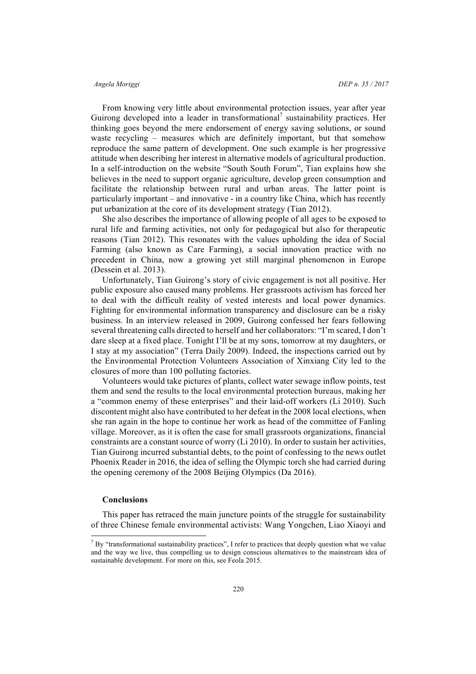From knowing very little about environmental protection issues, year after year Guirong developed into a leader in transformational<sup>7</sup> sustainability practices. Her thinking goes beyond the mere endorsement of energy saving solutions, or sound waste recycling – measures which are definitely important, but that somehow reproduce the same pattern of development. One such example is her progressive attitude when describing her interest in alternative models of agricultural production. In a self-introduction on the website "South South Forum", Tian explains how she believes in the need to support organic agriculture, develop green consumption and facilitate the relationship between rural and urban areas. The latter point is particularly important – and innovative - in a country like China, which has recently put urbanization at the core of its development strategy (Tian 2012).

She also describes the importance of allowing people of all ages to be exposed to rural life and farming activities, not only for pedagogical but also for therapeutic reasons (Tian 2012). This resonates with the values upholding the idea of Social Farming (also known as Care Farming), a social innovation practice with no precedent in China, now a growing yet still marginal phenomenon in Europe (Dessein et al. 2013).

Unfortunately, Tian Guirong's story of civic engagement is not all positive. Her public exposure also caused many problems. Her grassroots activism has forced her to deal with the difficult reality of vested interests and local power dynamics. Fighting for environmental information transparency and disclosure can be a risky business. In an interview released in 2009, Guirong confessed her fears following several threatening calls directed to herself and her collaborators: "I'm scared, I don't dare sleep at a fixed place. Tonight I'll be at my sons, tomorrow at my daughters, or I stay at my association" (Terra Daily 2009). Indeed, the inspections carried out by the Environmental Protection Volunteers Association of Xinxiang City led to the closures of more than 100 polluting factories.

Volunteers would take pictures of plants, collect water sewage inflow points, test them and send the results to the local environmental protection bureaus, making her a "common enemy of these enterprises" and their laid-off workers (Li 2010). Such discontent might also have contributed to her defeat in the 2008 local elections, when she ran again in the hope to continue her work as head of the committee of Fanling village. Moreover, as it is often the case for small grassroots organizations, financial constraints are a constant source of worry (Li 2010). In order to sustain her activities, Tian Guirong incurred substantial debts, to the point of confessing to the news outlet Phoenix Reader in 2016, the idea of selling the Olympic torch she had carried during the opening ceremony of the 2008 Beijing Olympics (Da 2016).

# **Conclusions**

This paper has retraced the main juncture points of the struggle for sustainability of three Chinese female environmental activists: Wang Yongchen, Liao Xiaoyi and

<sup>&</sup>lt;sup>7</sup> By "transformational sustainability practices", I refer to practices that deeply question what we value and the way we live, thus compelling us to design conscious alternatives to the mainstream idea of sustainable development. For more on this, see Feola 2015.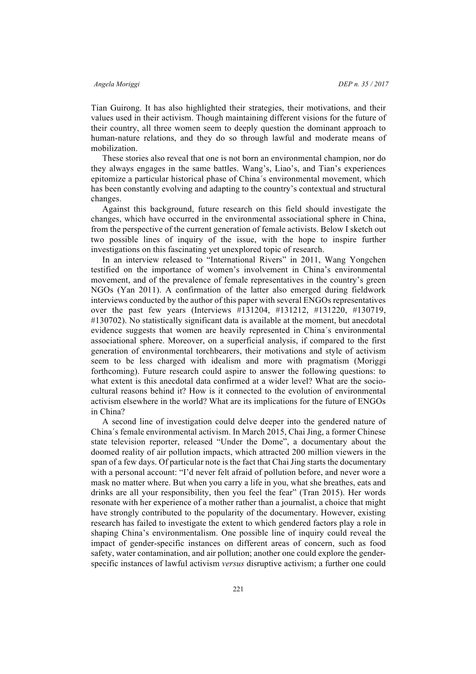Tian Guirong. It has also highlighted their strategies, their motivations, and their values used in their activism. Though maintaining different visions for the future of their country, all three women seem to deeply question the dominant approach to human-nature relations, and they do so through lawful and moderate means of mobilization.

These stories also reveal that one is not born an environmental champion, nor do they always engages in the same battles. Wang's, Liao's, and Tian's experiences epitomize a particular historical phase of China´s environmental movement, which has been constantly evolving and adapting to the country's contextual and structural changes.

Against this background, future research on this field should investigate the changes, which have occurred in the environmental associational sphere in China, from the perspective of the current generation of female activists. Below I sketch out two possible lines of inquiry of the issue, with the hope to inspire further investigations on this fascinating yet unexplored topic of research.

In an interview released to "International Rivers" in 2011, Wang Yongchen testified on the importance of women's involvement in China's environmental movement, and of the prevalence of female representatives in the country's green NGOs (Yan 2011). A confirmation of the latter also emerged during fieldwork interviews conducted by the author of this paper with several ENGOs representatives over the past few years (Interviews #131204, #131212, #131220, #130719, #130702). No statistically significant data is available at the moment, but anecdotal evidence suggests that women are heavily represented in China´s environmental associational sphere. Moreover, on a superficial analysis, if compared to the first generation of environmental torchbearers, their motivations and style of activism seem to be less charged with idealism and more with pragmatism (Moriggi forthcoming). Future research could aspire to answer the following questions: to what extent is this anecdotal data confirmed at a wider level? What are the sociocultural reasons behind it? How is it connected to the evolution of environmental activism elsewhere in the world? What are its implications for the future of ENGOs in China?

A second line of investigation could delve deeper into the gendered nature of China´s female environmental activism. In March 2015, Chai Jing, a former Chinese state television reporter, released "Under the Dome", a documentary about the doomed reality of air pollution impacts, which attracted 200 million viewers in the span of a few days. Of particular note is the fact that Chai Jing starts the documentary with a personal account: "I'd never felt afraid of pollution before, and never wore a mask no matter where. But when you carry a life in you, what she breathes, eats and drinks are all your responsibility, then you feel the fear" (Tran 2015). Her words resonate with her experience of a mother rather than a journalist, a choice that might have strongly contributed to the popularity of the documentary. However, existing research has failed to investigate the extent to which gendered factors play a role in shaping China's environmentalism. One possible line of inquiry could reveal the impact of gender-specific instances on different areas of concern, such as food safety, water contamination, and air pollution; another one could explore the genderspecific instances of lawful activism *versus* disruptive activism; a further one could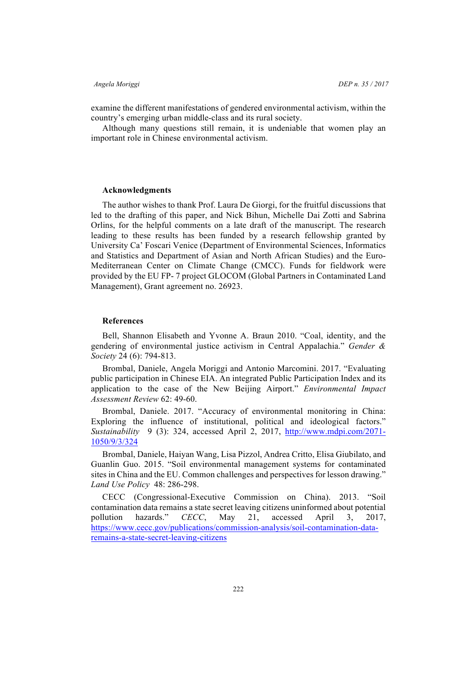examine the different manifestations of gendered environmental activism, within the country's emerging urban middle-class and its rural society.

Although many questions still remain, it is undeniable that women play an important role in Chinese environmental activism.

### **Acknowledgments**

The author wishes to thank Prof. Laura De Giorgi, for the fruitful discussions that led to the drafting of this paper, and Nick Bihun, Michelle Dai Zotti and Sabrina Orlins, for the helpful comments on a late draft of the manuscript. The research leading to these results has been funded by a research fellowship granted by University Ca' Foscari Venice (Department of Environmental Sciences, Informatics and Statistics and Department of Asian and North African Studies) and the Euro-Mediterranean Center on Climate Change (CMCC). Funds for fieldwork were provided by the EU FP- 7 project GLOCOM (Global Partners in Contaminated Land Management), Grant agreement no. 26923.

# **References**

Bell, Shannon Elisabeth and Yvonne A. Braun 2010. "Coal, identity, and the gendering of environmental justice activism in Central Appalachia." *Gender & Society* 24 (6): 794-813.

Brombal, Daniele, Angela Moriggi and Antonio Marcomini. 2017. "Evaluating public participation in Chinese EIA. An integrated Public Participation Index and its application to the case of the New Beijing Airport." *Environmental Impact Assessment Review* 62: 49-60.

Brombal, Daniele. 2017. "Accuracy of environmental monitoring in China: Exploring the influence of institutional, political and ideological factors." *Sustainability* 9 (3): 324, accessed April 2, 2017, http://www.mdpi.com/2071- 1050/9/3/324

Brombal, Daniele, Haiyan Wang, Lisa Pizzol, Andrea Critto, Elisa Giubilato, and Guanlin Guo. 2015. "Soil environmental management systems for contaminated sites in China and the EU. Common challenges and perspectives for lesson drawing." *Land Use Policy* 48: 286-298.

CECC (Congressional-Executive Commission on China). 2013. "Soil contamination data remains a state secret leaving citizens uninformed about potential pollution hazards." *CECC*, May 21, accessed April 3, 2017, https://www.cecc.gov/publications/commission-analysis/soil-contamination-dataremains-a-state-secret-leaving-citizens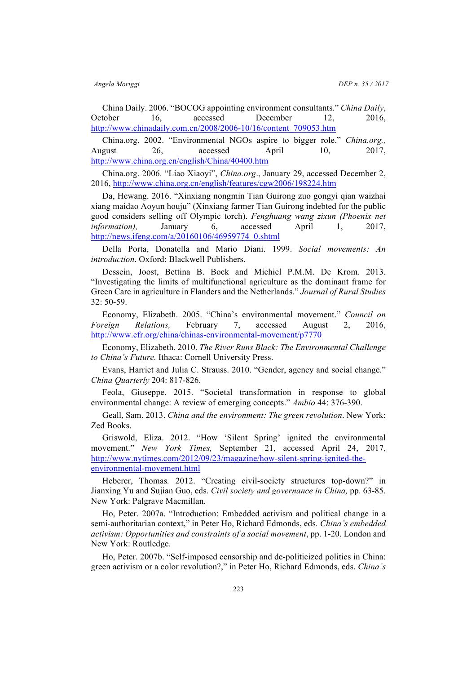China Daily. 2006. "BOCOG appointing environment consultants." *China Daily*, October 16, accessed December 12, 2016, http://www.chinadaily.com.cn/2008/2006-10/16/content\_709053.htm

China.org. 2002. "Environmental NGOs aspire to bigger role." *China.org.,* August 26, accessed April 10, 2017, http://www.china.org.cn/english/China/40400.htm

China.org. 2006. "Liao Xiaoyi", *China.org*., January 29, accessed December 2, 2016, http://www.china.org.cn/english/features/cgw2006/198224.htm

Da, Hewang. 2016. "Xinxiang nongmin Tian Guirong zuo gongyi qian waizhai xiang maidao Aoyun houju" (Xinxiang farmer Tian Guirong indebted for the public good considers selling off Olympic torch). *Fenghuang wang zixun (Phoenix net information),* January 6, accessed April 1, 2017, http://news.ifeng.com/a/20160106/46959774\_0.shtml

Della Porta, Donatella and Mario Diani. 1999. *Social movements: An introduction*. Oxford: Blackwell Publishers.

Dessein, Joost, Bettina B. Bock and Michiel P.M.M. De Krom. 2013. "Investigating the limits of multifunctional agriculture as the dominant frame for Green Care in agriculture in Flanders and the Netherlands." *Journal of Rural Studies* 32: 50-59.

Economy, Elizabeth. 2005. "China's environmental movement." *Council on Foreign Relations,* February 7, accessed August 2, 2016, http://www.cfr.org/china/chinas-environmental-movement/p7770

Economy, Elizabeth. 2010. *The River Runs Black: The Environmental Challenge to China's Future.* Ithaca: Cornell University Press.

Evans, Harriet and Julia C. Strauss. 2010. "Gender, agency and social change." *China Quarterly* 204: 817-826.

Feola, Giuseppe. 2015. "Societal transformation in response to global environmental change: A review of emerging concepts." *Ambio* 44: 376-390.

Geall, Sam. 2013. *China and the environment: The green revolution*. New York: Zed Books.

Griswold, Eliza. 2012. "How 'Silent Spring' ignited the environmental movement." *New York Times,* September 21, accessed April 24, 2017, http://www.nytimes.com/2012/09/23/magazine/how-silent-spring-ignited-theenvironmental-movement.html

Heberer, Thomas*.* 2012. "Creating civil-society structures top-down?" in Jianxing Yu and Sujian Guo, eds. *Civil society and governance in China,* pp. 63-85. New York: Palgrave Macmillan.

Ho, Peter. 2007a. "Introduction: Embedded activism and political change in a semi-authoritarian context," in Peter Ho, Richard Edmonds, eds. *China's embedded activism: Opportunities and constraints of a social movement*, pp. 1-20. London and New York: Routledge.

Ho, Peter. 2007b. "Self-imposed censorship and de-politicized politics in China: green activism or a color revolution?," in Peter Ho, Richard Edmonds, eds. *China's*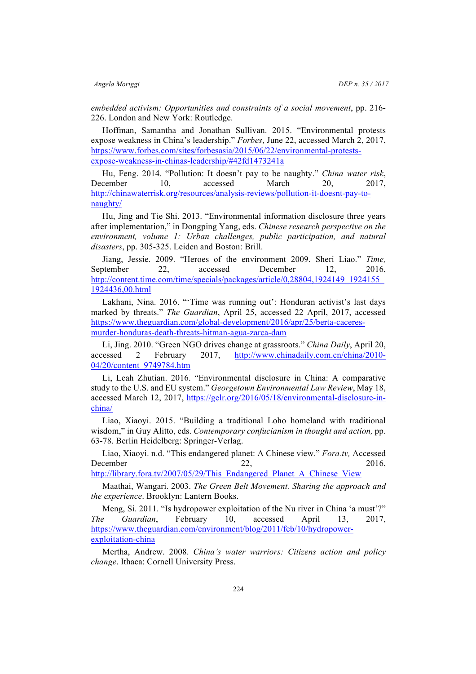*embedded activism: Opportunities and constraints of a social movement*, pp. 216- 226. London and New York: Routledge.

Hoffman, Samantha and Jonathan Sullivan. 2015. "Environmental protests expose weakness in China's leadership." *Forbes*, June 22, accessed March 2, 2017, https://www.forbes.com/sites/forbesasia/2015/06/22/environmental-protestsexpose-weakness-in-chinas-leadership/#42fd1473241a

Hu, Feng. 2014. "Pollution: It doesn't pay to be naughty." *China water risk*, December 10, accessed March 20, 2017, http://chinawaterrisk.org/resources/analysis-reviews/pollution-it-doesnt-pay-tonaughty/

Hu, Jing and Tie Shi. 2013. "Environmental information disclosure three years after implementation," in Dongping Yang, eds. *Chinese research perspective on the environment, volume 1: Urban challenges, public participation, and natural disasters*, pp. 305-325. Leiden and Boston: Brill.

Jiang, Jessie. 2009. "Heroes of the environment 2009. Sheri Liao." *Time,* September 22, accessed December 12, 2016, http://content.time.com/time/specials/packages/article/0,28804,1924149\_1924155 1924436,00.html

Lakhani, Nina. 2016. "'Time was running out': Honduran activist's last days marked by threats." *The Guardian*, April 25, accessed 22 April, 2017, accessed https://www.theguardian.com/global-development/2016/apr/25/berta-caceresmurder-honduras-death-threats-hitman-agua-zarca-dam

Li, Jing. 2010. "Green NGO drives change at grassroots." *China Daily*, April 20, accessed 2 February 2017, http://www.chinadaily.com.cn/china/2010- 04/20/content\_9749784.htm

Li, Leah Zhutian. 2016. "Environmental disclosure in China: A comparative study to the U.S. and EU system." *Georgetown Environmental Law Review*, May 18, accessed March 12, 2017, https://gelr.org/2016/05/18/environmental-disclosure-inchina/

Liao, Xiaoyi. 2015. "Building a traditional Loho homeland with traditional wisdom," in Guy Alitto, eds. *Contemporary confucianism in thought and action,* pp. 63-78. Berlin Heidelberg: Springer-Verlag.

Liao, Xiaoyi. n.d. "This endangered planet: A Chinese view." *Fora.tv,* Accessed December  $22$ ,  $2016$ ,

http://library.fora.tv/2007/05/29/This\_Endangered\_Planet\_A\_Chinese\_View

Maathai, Wangari. 2003. *The Green Belt Movement. Sharing the approach and the experience*. Brooklyn: Lantern Books.

Meng, Si. 2011. "Is hydropower exploitation of the Nu river in China 'a must'?" *The Guardian*, February 10, accessed April 13, 2017, https://www.theguardian.com/environment/blog/2011/feb/10/hydropowerexploitation-china

Mertha, Andrew. 2008. *China's water warriors: Citizens action and policy change*. Ithaca: Cornell University Press.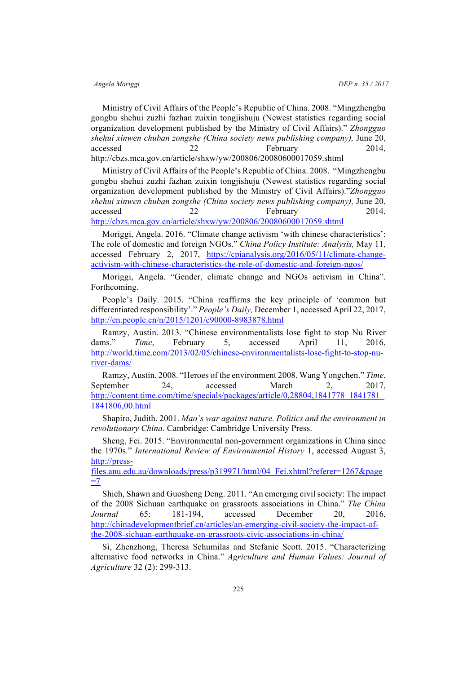Ministry of Civil Affairs of the People's Republic of China. 2008. "Mingzhengbu gongbu shehui zuzhi fazhan zuixin tongjishuju (Newest statistics regarding social organization development published by the Ministry of Civil Affairs)." *Zhongguo shehui xinwen chuban zongshe (China society news publishing company),* June 20, accessed 22 February 2014, http://cbzs.mca.gov.cn/article/shxw/yw/200806/20080600017059.shtml

Ministry of Civil Affairs of the People's Republic of China. 2008. "Mingzhengbu gongbu shehui zuzhi fazhan zuixin tongjishuju (Newest statistics regarding social organization development published by the Ministry of Civil Affairs)."*Zhongguo shehui xinwen chuban zongshe (China society news publishing company),* June 20, accessed 22 February 2014, http://cbzs.mca.gov.cn/article/shxw/yw/200806/20080600017059.shtml

Moriggi, Angela. 2016. "Climate change activism 'with chinese characteristics': The role of domestic and foreign NGOs." *China Policy Institute: Analysis,* May 11, accessed February 2, 2017, https://cpianalysis.org/2016/05/11/climate-changeactivism-with-chinese-characteristics-the-role-of-domestic-and-foreign-ngos/

Moriggi, Angela. "Gender, climate change and NGOs activism in China". Forthcoming.

People's Daily. 2015. "China reaffirms the key principle of 'common but differentiated responsibility'." *People's Daily,* December 1, accessed April 22, 2017, http://en.people.cn/n/2015/1201/c90000-8983878.html

Ramzy, Austin. 2013. "Chinese environmentalists lose fight to stop Nu River dams." *Time*, February 5, accessed April 11, 2016, http://world.time.com/2013/02/05/chinese-environmentalists-lose-fight-to-stop-nuriver-dams/

Ramzy, Austin. 2008. "Heroes of the environment 2008. Wang Yongchen." *Time*, September 24, accessed March 2, 2017, http://content.time.com/time/specials/packages/article/0,28804,1841778\_1841781\_ 1841806,00.html

Shapiro, Judith. 2001. *Mao's war against nature. Politics and the environment in revolutionary China*. Cambridge: Cambridge University Press.

Sheng, Fei. 2015. "Environmental non-government organizations in China since the 1970s." *International Review of Environmental History* 1, accessed August 3, http://press-

files.anu.edu.au/downloads/press/p319971/html/04\_Fei.xhtml?referer=1267&page  $=7$ 

Shieh, Shawn and Guosheng Deng. 2011. "An emerging civil society: The impact of the 2008 Sichuan earthquake on grassroots associations in China." *The China Journal* 65: 181-194, accessed December 20, 2016, http://chinadevelopmentbrief.cn/articles/an-emerging-civil-society-the-impact-ofthe-2008-sichuan-earthquake-on-grassroots-civic-associations-in-china/

Si, Zhenzhong, Theresa Schumilas and Stefanie Scott. 2015. "Characterizing alternative food networks in China." *Agriculture and Human Values: Journal of Agriculture* 32 (2): 299-313.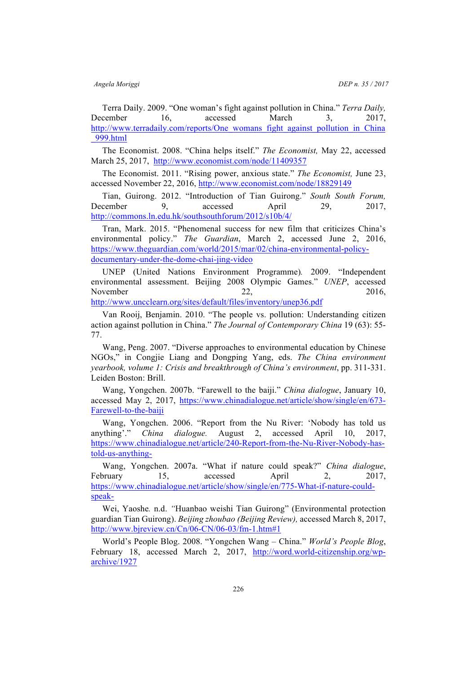Terra Daily. 2009. "One woman's fight against pollution in China." *Terra Daily,*  December 16, accessed March 3, 2017, http://www.terradaily.com/reports/One\_womans\_fight\_against\_pollution\_in\_China \_999.html

The Economist. 2008. "China helps itself." *The Economist,* May 22, accessed March 25, 2017, http://www.economist.com/node/11409357

The Economist. 2011. "Rising power, anxious state." *The Economist,* June 23, accessed November 22, 2016, http://www.economist.com/node/18829149

Tian, Guirong. 2012. "Introduction of Tian Guirong." *South South Forum,*  December 9, accessed April 29, 2017, http://commons.ln.edu.hk/southsouthforum/2012/s10b/4/

Tran, Mark. 2015. "Phenomenal success for new film that criticizes China's environmental policy." *The Guardian*, March 2, accessed June 2, 2016, https://www.theguardian.com/world/2015/mar/02/china-environmental-policydocumentary-under-the-dome-chai-jing-video

UNEP (United Nations Environment Programme)*.* 2009. "Independent environmental assessment. Beijing 2008 Olympic Games." *UNEP*, accessed November  $22$ ,  $2016$ ,

http://www.uncclearn.org/sites/default/files/inventory/unep36.pdf

Van Rooij, Benjamin. 2010. "The people vs. pollution: Understanding citizen action against pollution in China." *The Journal of Contemporary China* 19 (63): 55- 77.

Wang, Peng. 2007. "Diverse approaches to environmental education by Chinese NGOs," in Congjie Liang and Dongping Yang, eds. *The China environment yearbook, volume 1: Crisis and breakthrough of China's environment*, pp. 311-331. Leiden Boston: Brill.

Wang, Yongchen. 2007b. "Farewell to the baiji." *China dialogue*, January 10, accessed May 2, 2017, https://www.chinadialogue.net/article/show/single/en/673- Farewell-to-the-baiji

Wang, Yongchen. 2006. "Report from the Nu River: 'Nobody has told us anything'." *China dialogue.* August 2, accessed April 10, 2017, https://www.chinadialogue.net/article/240-Report-from-the-Nu-River-Nobody-hastold-us-anything-

Wang, Yongchen. 2007a. "What if nature could speak?" *China dialogue*, February 15, accessed April 2, 2017, https://www.chinadialogue.net/article/show/single/en/775-What-if-nature-couldspeak-

Wei, Yaoshe*.* n.d. *"*Huanbao weishi Tian Guirong" (Environmental protection guardian Tian Guirong). *Beijing zhoubao (Beijing Review),* accessed March 8, 2017, http://www.bjreview.cn/Cn/06-CN/06-03/fm-1.htm#1

World's People Blog. 2008. "Yongchen Wang – China." *World's People Blog*, February 18, accessed March 2, 2017, http://word.world-citizenship.org/wparchive/1927